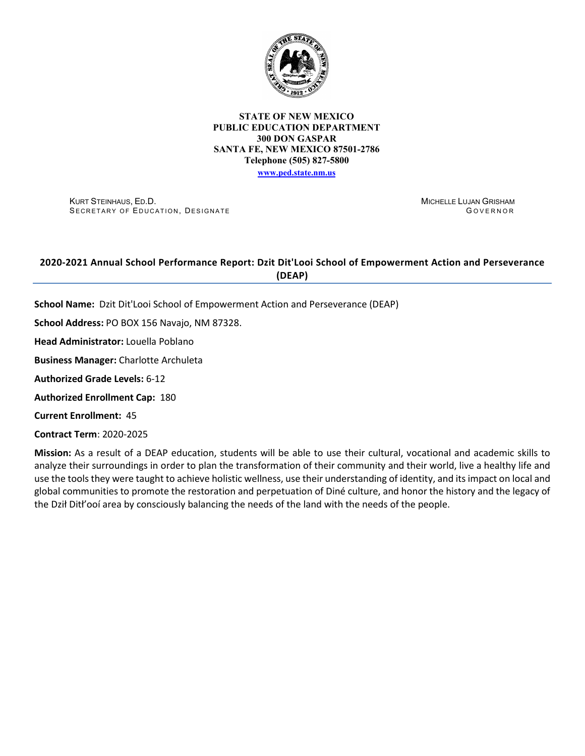

### **STATE OF NEW MEXICO PUBLIC EDUCATION DEPARTMENT 300 DON GASPAR SANTA FE, NEW MEXICO 87501-2786 Telephone (505) 827-5800 [www.ped.state.nm.us](http://webnew.ped.state.nm.us/)**

KURT STEINHAUS, ED.D. SECRETARY OF EDUCATION, DESIGNATE MICHELLE LUJAN GRISHAM G OVERNOR

# **2020-2021 Annual School Performance Report: Dzit Dit'Looi School of Empowerment Action and Perseverance (DEAP)**

**School Name:** Dzit Dit'Looi School of Empowerment Action and Perseverance (DEAP)

**School Address:** PO BOX 156 Navajo, NM 87328.

**Head Administrator:** Louella Poblano

**Business Manager:** Charlotte Archuleta

**Authorized Grade Levels:** 6-12

**Authorized Enrollment Cap:** 180

**Current Enrollment:** 45

**Contract Term**: 2020-2025

**Mission:** As a result of a DEAP education, students will be able to use their cultural, vocational and academic skills to analyze their surroundings in order to plan the transformation of their community and their world, live a healthy life and use the tools they were taught to achieve holistic wellness, use their understanding of identity, and its impact on local and global communities to promote the restoration and perpetuation of Diné culture, and honor the history and the legacy of the Dził Ditł'ooí area by consciously balancing the needs of the land with the needs of the people.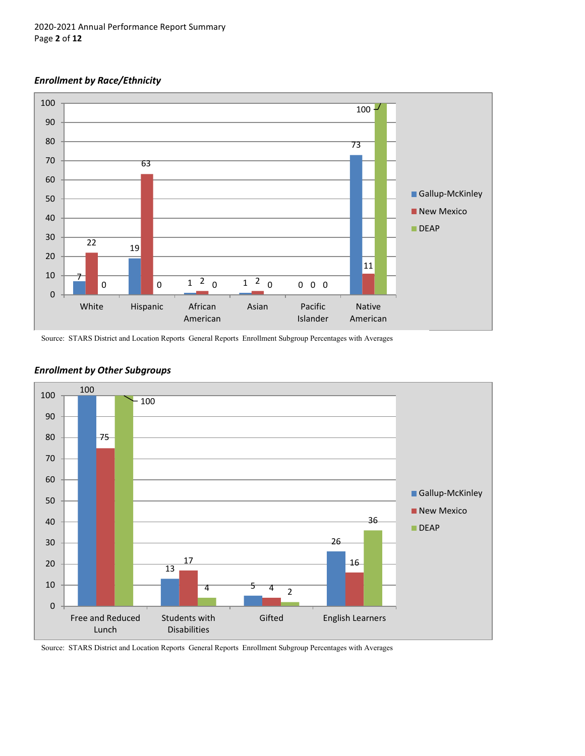## *Enrollment by Race/Ethnicity*



Source: STARS District and Location Reports General Reports Enrollment Subgroup Percentages with Averages



## *Enrollment by Other Subgroups*

Source: STARS District and Location Reports General Reports Enrollment Subgroup Percentages with Averages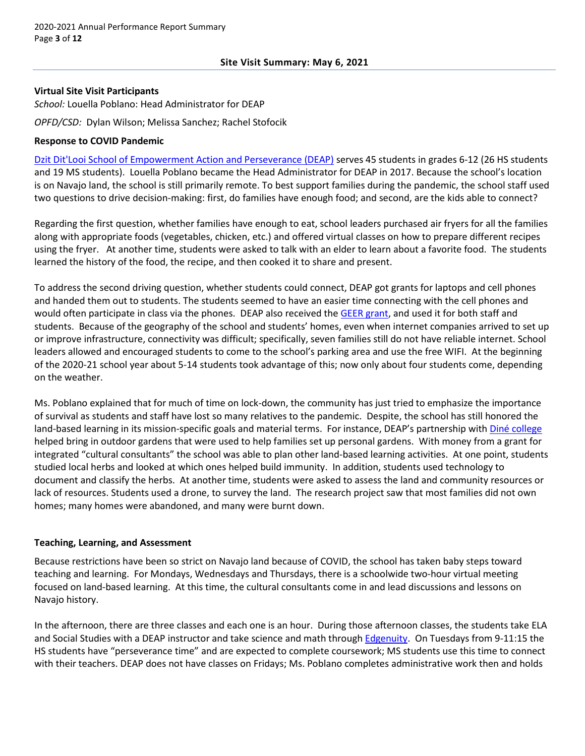### **Virtual Site Visit Participants**

*School:* Louella Poblano: Head Administrator for DEAP

*OPFD/CSD:* Dylan Wilson; Melissa Sanchez; Rachel Stofocik

### **Response to COVID Pandemic**

[Dzit Dit'Looi School of Empowerment Action and Perseverance \(DEAP\)](http://www.deapschool.org/) serves 45 students in grades 6-12 (26 HS students and 19 MS students). Louella Poblano became the Head Administrator for DEAP in 2017. Because the school's location is on Navajo land, the school is still primarily remote. To best support families during the pandemic, the school staff used two questions to drive decision-making: first, do families have enough food; and second, are the kids able to connect?

Regarding the first question, whether families have enough to eat, school leaders purchased air fryers for all the families along with appropriate foods (vegetables, chicken, etc.) and offered virtual classes on how to prepare different recipes using the fryer. At another time, students were asked to talk with an elder to learn about a favorite food. The students learned the history of the food, the recipe, and then cooked it to share and present.

To address the second driving question, whether students could connect, DEAP got grants for laptops and cell phones and handed them out to students. The students seemed to have an easier time connecting with the cell phones and would often participate in class via the phones. DEAP also received th[e GEER grant,](https://webnew.ped.state.nm.us/bureaus/title-i/cares-act-geer/) and used it for both staff and students. Because of the geography of the school and students' homes, even when internet companies arrived to set up or improve infrastructure, connectivity was difficult; specifically, seven families still do not have reliable internet. School leaders allowed and encouraged students to come to the school's parking area and use the free WIFI. At the beginning of the 2020-21 school year about 5-14 students took advantage of this; now only about four students come, depending on the weather.

Ms. Poblano explained that for much of time on lock-down, the community has just tried to emphasize the importance of survival as students and staff have lost so many relatives to the pandemic. Despite, the school has still honored the land-based learning in its mission-specific goals and material terms. For instance, DEAP's partnership with *[Diné college](https://www.dinecollege.edu/)* helped bring in outdoor gardens that were used to help families set up personal gardens. With money from a grant for integrated "cultural consultants" the school was able to plan other land-based learning activities. At one point, students studied local herbs and looked at which ones helped build immunity. In addition, students used technology to document and classify the herbs. At another time, students were asked to assess the land and community resources or lack of resources. Students used a drone, to survey the land. The research project saw that most families did not own homes; many homes were abandoned, and many were burnt down.

## **Teaching, Learning, and Assessment**

Because restrictions have been so strict on Navajo land because of COVID, the school has taken baby steps toward teaching and learning. For Mondays, Wednesdays and Thursdays, there is a schoolwide two-hour virtual meeting focused on land-based learning. At this time, the cultural consultants come in and lead discussions and lessons on Navajo history.

In the afternoon, there are three classes and each one is an hour. During those afternoon classes, the students take ELA and Social Studies with a DEAP instructor and take science and math through [Edgenuity.](https://www.edgenuity.com/) On Tuesdays from 9-11:15 the HS students have "perseverance time" and are expected to complete coursework; MS students use this time to connect with their teachers. DEAP does not have classes on Fridays; Ms. Poblano completes administrative work then and holds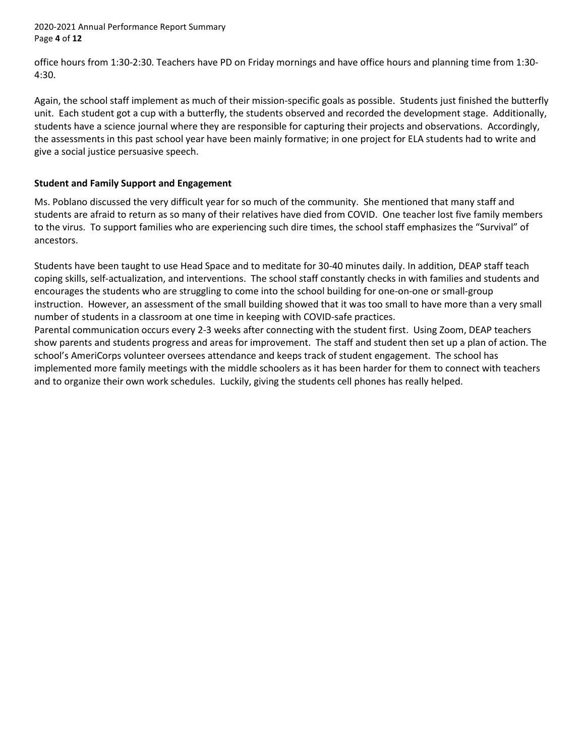2020-2021 Annual Performance Report Summary Page **4** of **12**

office hours from 1:30-2:30. Teachers have PD on Friday mornings and have office hours and planning time from 1:30- 4:30.

Again, the school staff implement as much of their mission-specific goals as possible. Students just finished the butterfly unit. Each student got a cup with a butterfly, the students observed and recorded the development stage. Additionally, students have a science journal where they are responsible for capturing their projects and observations. Accordingly, the assessments in this past school year have been mainly formative; in one project for ELA students had to write and give a social justice persuasive speech.

## **Student and Family Support and Engagement**

Ms. Poblano discussed the very difficult year for so much of the community. She mentioned that many staff and students are afraid to return as so many of their relatives have died from COVID. One teacher lost five family members to the virus. To support families who are experiencing such dire times, the school staff emphasizes the "Survival" of ancestors.

Students have been taught to use Head Space and to meditate for 30-40 minutes daily. In addition, DEAP staff teach coping skills, self-actualization, and interventions. The school staff constantly checks in with families and students and encourages the students who are struggling to come into the school building for one-on-one or small-group instruction. However, an assessment of the small building showed that it was too small to have more than a very small number of students in a classroom at one time in keeping with COVID-safe practices.

Parental communication occurs every 2-3 weeks after connecting with the student first. Using Zoom, DEAP teachers show parents and students progress and areas for improvement. The staff and student then set up a plan of action. The school's AmeriCorps volunteer oversees attendance and keeps track of student engagement. The school has implemented more family meetings with the middle schoolers as it has been harder for them to connect with teachers and to organize their own work schedules. Luckily, giving the students cell phones has really helped.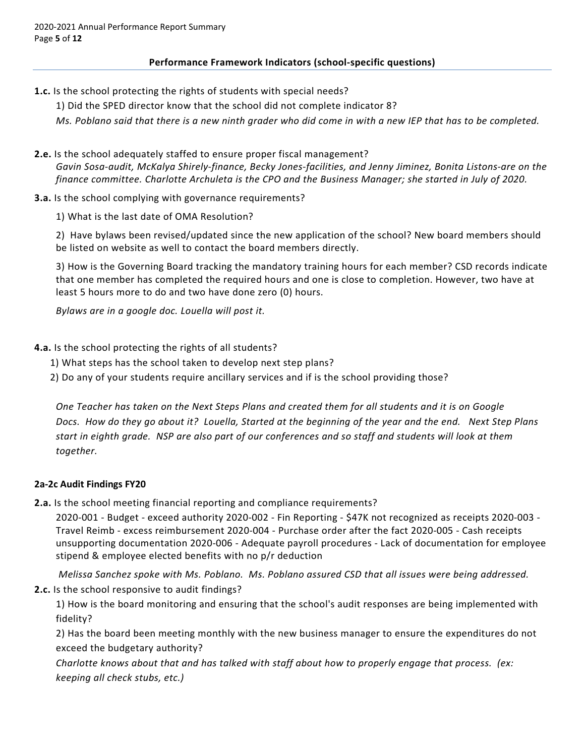# **Performance Framework Indicators (school-specific questions)**

- **1.c.** Is the school protecting the rights of students with special needs?
	- 1) Did the SPED director know that the school did not complete indicator 8?

*Ms. Poblano said that there is a new ninth grader who did come in with a new IEP that has to be completed.* 

**2.e.** Is the school adequately staffed to ensure proper fiscal management? *Gavin Sosa-audit, McKalya Shirely-finance, Becky Jones-facilities, and Jenny Jiminez, Bonita Listons-are on the finance committee. Charlotte Archuleta is the CPO and the Business Manager; she started in July of 2020.*

## **3.a.** Is the school complying with governance requirements?

1) What is the last date of OMA Resolution?

2) Have bylaws been revised/updated since the new application of the school? New board members should be listed on website as well to contact the board members directly.

3) How is the Governing Board tracking the mandatory training hours for each member? CSD records indicate that one member has completed the required hours and one is close to completion. However, two have at least 5 hours more to do and two have done zero (0) hours.

*Bylaws are in a google doc. Louella will post it.*

## **4.a.** Is the school protecting the rights of all students?

- 1) What steps has the school taken to develop next step plans?
- 2) Do any of your students require ancillary services and if is the school providing those?

*One Teacher has taken on the Next Steps Plans and created them for all students and it is on Google Docs. How do they go about it? Louella, Started at the beginning of the year and the end. Next Step Plans start in eighth grade. NSP are also part of our conferences and so staff and students will look at them together.*

## **2a-2c Audit Findings FY20**

**2.a.** Is the school meeting financial reporting and compliance requirements?

2020-001 - Budget - exceed authority 2020-002 - Fin Reporting - \$47K not recognized as receipts 2020-003 - Travel Reimb - excess reimbursement 2020-004 - Purchase order after the fact 2020-005 - Cash receipts unsupporting documentation 2020-006 - Adequate payroll procedures - Lack of documentation for employee stipend & employee elected benefits with no p/r deduction

*Melissa Sanchez spoke with Ms. Poblano. Ms. Poblano assured CSD that all issues were being addressed.* **2.c.** Is the school responsive to audit findings?

1) How is the board monitoring and ensuring that the school's audit responses are being implemented with fidelity?

2) Has the board been meeting monthly with the new business manager to ensure the expenditures do not exceed the budgetary authority?

*Charlotte knows about that and has talked with staff about how to properly engage that process. (ex: keeping all check stubs, etc.)*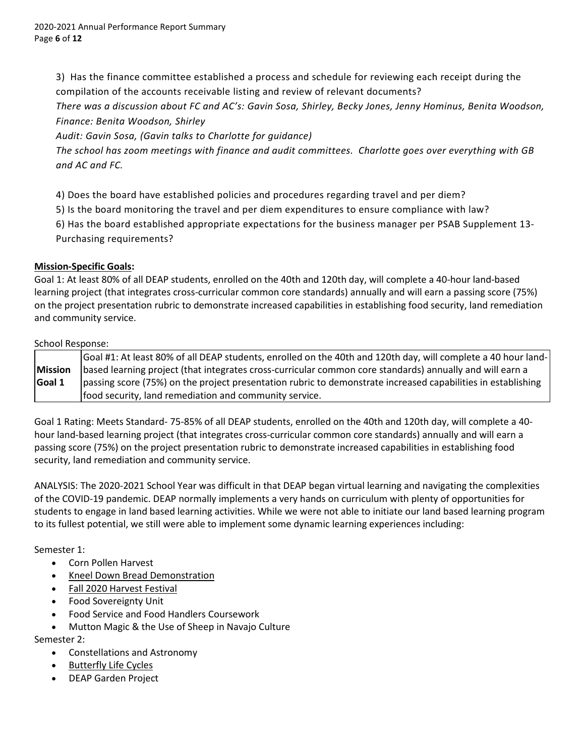3) Has the finance committee established a process and schedule for reviewing each receipt during the compilation of the accounts receivable listing and review of relevant documents?

*There was a discussion about FC and AC's: Gavin Sosa, Shirley, Becky Jones, Jenny Hominus, Benita Woodson, Finance: Benita Woodson, Shirley*

*Audit: Gavin Sosa, (Gavin talks to Charlotte for guidance)*

*The school has zoom meetings with finance and audit committees. Charlotte goes over everything with GB and AC and FC.*

4) Does the board have established policies and procedures regarding travel and per diem?

5) Is the board monitoring the travel and per diem expenditures to ensure compliance with law?

6) Has the board established appropriate expectations for the business manager per PSAB Supplement 13- Purchasing requirements?

# **Mission-Specific Goals:**

Goal 1: At least 80% of all DEAP students, enrolled on the 40th and 120th day, will complete a 40-hour land-based learning project (that integrates cross-curricular common core standards) annually and will earn a passing score (75%) on the project presentation rubric to demonstrate increased capabilities in establishing food security, land remediation and community service.

## School Response:

|                | Goal #1: At least 80% of all DEAP students, enrolled on the 40th and 120th day, will complete a 40 hour land- |
|----------------|---------------------------------------------------------------------------------------------------------------|
| <b>Mission</b> | based learning project (that integrates cross-curricular common core standards) annually and will earn a      |
| Goal 1         | passing score (75%) on the project presentation rubric to demonstrate increased capabilities in establishing  |
|                | food security, land remediation and community service.                                                        |

Goal 1 Rating: Meets Standard- 75-85% of all DEAP students, enrolled on the 40th and 120th day, will complete a 40 hour land-based learning project (that integrates cross-curricular common core standards) annually and will earn a passing score (75%) on the project presentation rubric to demonstrate increased capabilities in establishing food security, land remediation and community service.

ANALYSIS: The 2020-2021 School Year was difficult in that DEAP began virtual learning and navigating the complexities of the COVID-19 pandemic. DEAP normally implements a very hands on curriculum with plenty of opportunities for students to engage in land based learning activities. While we were not able to initiate our land based learning program to its fullest potential, we still were able to implement some dynamic learning experiences including:

# Semester 1:

- Corn Pollen Harvest
- [Kneel Down Bread Demonstration](https://docs.google.com/document/d/1FgZOaS_7JBt3LAdqpUXFRBDsXqypJsaBs8KOd72eB8s/edit)
- [Fall 2020 Harvest Festival](https://docs.google.com/document/d/1zlXQnKYbddr7FmRHEmwDy6gVsp45aGBk5zk4bVFeXPU/edit)
- Food Sovereignty Unit
- Food Service and Food Handlers Coursework
- Mutton Magic & the Use of Sheep in Navajo Culture

# Semester 2:

- Constellations and Astronomy
- [Butterfly Life Cycles](https://docs.google.com/presentation/d/1jtOyUKGZANTkzSpkDd7JUpFY1dnXZgQKyURmyqx4Lik/edit#slide=id.p)
- DEAP Garden Project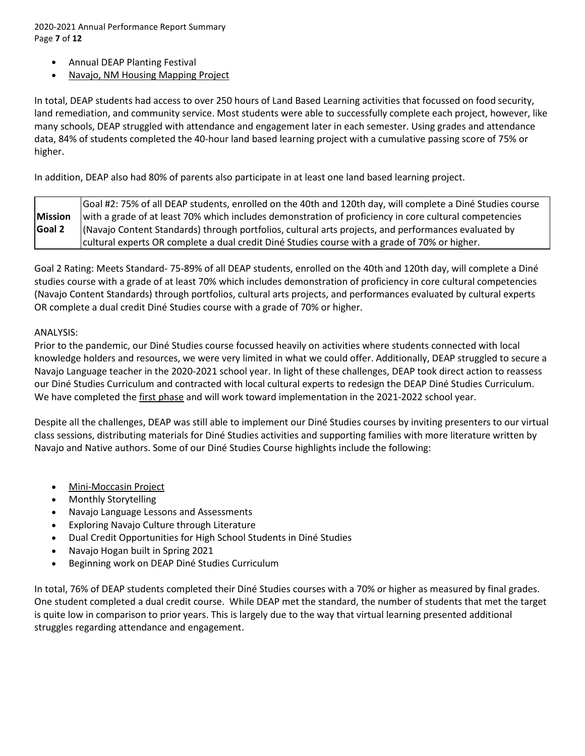2020-2021 Annual Performance Report Summary Page **7** of **12**

- Annual DEAP Planting Festival
- [Navajo, NM Housing Mapping Project](https://www.google.com/maps/d/u/0/edit?mid=18KLSAy1qkER5xKOBlMDD4y1KEkkG31vH&ll=35.90532838975928%2C-109.0308905&z=15)

In total, DEAP students had access to over 250 hours of Land Based Learning activities that focussed on food security, land remediation, and community service. Most students were able to successfully complete each project, however, like many schools, DEAP struggled with attendance and engagement later in each semester. Using grades and attendance data, 84% of students completed the 40-hour land based learning project with a cumulative passing score of 75% or higher.

In addition, DEAP also had 80% of parents also participate in at least one land based learning project.

| Goal #2: 75% of all DEAP students, enrolled on the 40th and 120th day, will complete a Diné Studies course |                                                                                                        |  |  |  |
|------------------------------------------------------------------------------------------------------------|--------------------------------------------------------------------------------------------------------|--|--|--|
| <b>Mission</b>                                                                                             | with a grade of at least 70% which includes demonstration of proficiency in core cultural competencies |  |  |  |
| Goal 2                                                                                                     | (Navajo Content Standards) through portfolios, cultural arts projects, and performances evaluated by   |  |  |  |
|                                                                                                            | cultural experts OR complete a dual credit Diné Studies course with a grade of 70% or higher.          |  |  |  |

Goal 2 Rating: Meets Standard- 75-89% of all DEAP students, enrolled on the 40th and 120th day, will complete a Diné studies course with a grade of at least 70% which includes demonstration of proficiency in core cultural competencies (Navajo Content Standards) through portfolios, cultural arts projects, and performances evaluated by cultural experts OR complete a dual credit Diné Studies course with a grade of 70% or higher.

## ANALYSIS:

Prior to the pandemic, our Diné Studies course focussed heavily on activities where students connected with local knowledge holders and resources, we were very limited in what we could offer. Additionally, DEAP struggled to secure a Navajo Language teacher in the 2020-2021 school year. In light of these challenges, DEAP took direct action to reassess our Diné Studies Curriculum and contracted with local cultural experts to redesign the DEAP Diné Studies Curriculum. We have completed th[e first phase](https://drive.google.com/drive/folders/1pw8fY9heO5-dPlCaVcQ5A_bCmgrxV0vv?usp=sharing) and will work toward implementation in the 2021-2022 school year.

Despite all the challenges, DEAP was still able to implement our Diné Studies courses by inviting presenters to our virtual class sessions, distributing materials for Diné Studies activities and supporting families with more literature written by Navajo and Native authors. Some of our Diné Studies Course highlights include the following:

- [Mini-Moccasin Project](https://drive.google.com/file/d/1qWwFiKA9_zv5-0NLn4oGeD39oftNfiwR/view)
- Monthly Storytelling
- Navajo Language Lessons and Assessments
- Exploring Navajo Culture through Literature
- Dual Credit Opportunities for High School Students in Diné Studies
- Navajo Hogan built in Spring 2021
- Beginning work on DEAP Diné Studies Curriculum

In total, 76% of DEAP students completed their Diné Studies courses with a 70% or higher as measured by final grades. One student completed a dual credit course. While DEAP met the standard, the number of students that met the target is quite low in comparison to prior years. This is largely due to the way that virtual learning presented additional struggles regarding attendance and engagement.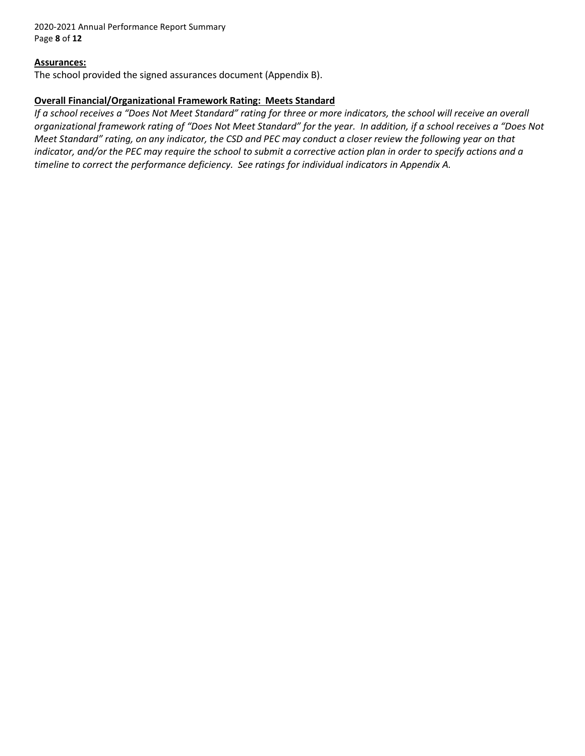2020-2021 Annual Performance Report Summary Page **8** of **12**

## **Assurances:**

The school provided the signed assurances document (Appendix B).

## **Overall Financial/Organizational Framework Rating: Meets Standard**

*If a school receives a "Does Not Meet Standard" rating for three or more indicators, the school will receive an overall organizational framework rating of "Does Not Meet Standard" for the year. In addition, if a school receives a "Does Not Meet Standard" rating, on any indicator, the CSD and PEC may conduct a closer review the following year on that indicator, and/or the PEC may require the school to submit a corrective action plan in order to specify actions and a timeline to correct the performance deficiency. See ratings for individual indicators in Appendix A.*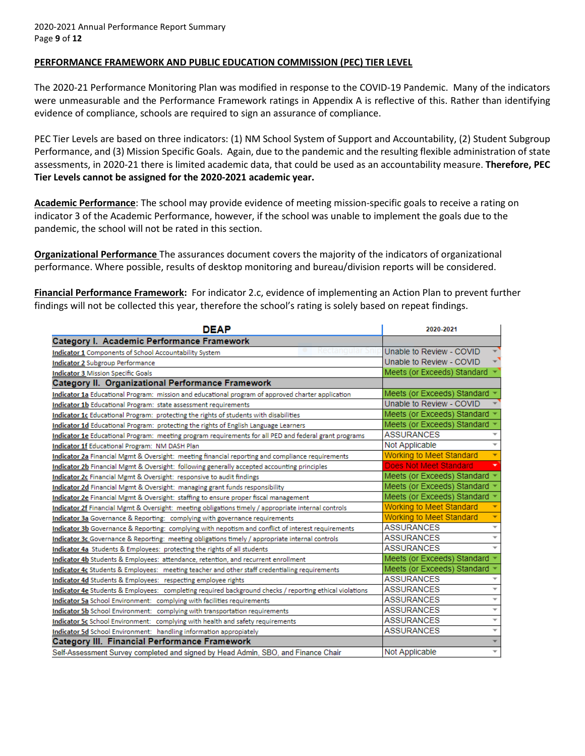## **PERFORMANCE FRAMEWORK AND PUBLIC EDUCATION COMMISSION (PEC) TIER LEVEL**

The 2020-21 Performance Monitoring Plan was modified in response to the COVID-19 Pandemic. Many of the indicators were unmeasurable and the Performance Framework ratings in Appendix A is reflective of this. Rather than identifying evidence of compliance, schools are required to sign an assurance of compliance.

PEC Tier Levels are based on three indicators: (1) NM School System of Support and Accountability, (2) Student Subgroup Performance, and (3) Mission Specific Goals. Again, due to the pandemic and the resulting flexible administration of state assessments, in 2020-21 there is limited academic data, that could be used as an accountability measure. **Therefore, PEC Tier Levels cannot be assigned for the 2020-2021 academic year.**

**Academic Performance**: The school may provide evidence of meeting mission-specific goals to receive a rating on indicator 3 of the Academic Performance, however, if the school was unable to implement the goals due to the pandemic, the school will not be rated in this section.

**Organizational Performance** The assurances document covers the majority of the indicators of organizational performance. Where possible, results of desktop monitoring and bureau/division reports will be considered.

**Financial Performance Framework:** For indicator 2.c, evidence of implementing an Action Plan to prevent further findings will not be collected this year, therefore the school's rating is solely based on repeat findings.

| <b>DEAP</b>                                                                                             | 2020-2021                                     |  |
|---------------------------------------------------------------------------------------------------------|-----------------------------------------------|--|
| Category I. Academic Performance Framework                                                              |                                               |  |
| Indicator 1 Components of School Accountability System                                                  | Unable to Review - COVID                      |  |
| <b>Indicator 2 Subgroup Performance</b>                                                                 | Unable to Review - COVID                      |  |
| <b>Indicator 3 Mission Specific Goals</b>                                                               | Meets (or Exceeds) Standard                   |  |
| Category II. Organizational Performance Framework                                                       |                                               |  |
| Indicator 1a Educational Program: mission and educational program of approved charter application       | Meets (or Exceeds) Standard                   |  |
| Indicator 1b Educational Program: state assessment requirements                                         | Unable to Review - COVID                      |  |
| Indicator 1c Educational Program: protecting the rights of students with disabilities                   | Meets (or Exceeds) Standard                   |  |
| Indicator 1d Educational Program: protecting the rights of English Language Learners                    | Meets (or Exceeds) Standard                   |  |
| Indicator 1e Educational Program: meeting program requirements for all PED and federal grant programs   | <b>ASSURANCES</b>                             |  |
| Indicator 1f Educational Program: NM DASH Plan                                                          | Not Applicable<br>$\overline{\phantom{a}}$    |  |
| Indicator 2a Financial Mgmt & Oversight: meeting financial reporting and compliance requirements        | Working to Meet Standard                      |  |
| Indicator 2b Financial Mgmt & Oversight: following generally accepted accounting principles             | Does Not Meet Standard                        |  |
| Indicator 2c Financial Mgmt & Oversight: responsive to audit findings                                   | Meets (or Exceeds) Standard                   |  |
| Indicator 2d Financial Mgmt & Oversight: managing grant funds responsibility                            | Meets (or Exceeds) Standard                   |  |
| Indicator 2e Financial Mgmt & Oversight: staffing to ensure proper fiscal management                    | Meets (or Exceeds) Standard                   |  |
| Indicator 2f Financial Mgmt & Oversight: meeting obligations timely / appropriate internal controls     | <b>Working to Meet Standard</b>               |  |
| Indicator 3a Governance & Reporting: complying with governance requirements                             | <b>Working to Meet Standard</b>               |  |
| Indicator 3b Governance & Reporting: complying with nepotism and conflict of interest requirements      | $\overline{\phantom{a}}$<br><b>ASSURANCES</b> |  |
| Indicator 3c Governance & Reporting: meeting obligations timely / appropriate internal controls         | <b>ASSURANCES</b><br>$\overline{\phantom{a}}$ |  |
| Indicator 4a Students & Employees: protecting the rights of all students                                | <b>ASSURANCES</b>                             |  |
| Indicator 4b Students & Employees: attendance, retention, and recurrent enrollment                      | Meets (or Exceeds) Standard                   |  |
| Indicator 4c Students & Employees: meeting teacher and other staff credentialing requirements           | Meets (or Exceeds) Standard                   |  |
| Indicator 4d Students & Employees: respecting employee rights                                           | <b>ASSURANCES</b>                             |  |
| Indicator 4e Students & Employees: completing required background checks / reporting ethical violations | <b>ASSURANCES</b><br>$\overline{\phantom{a}}$ |  |
| Indicator 5a School Environment: complying with facilities requirements                                 | <b>ASSURANCES</b><br>$\overline{\phantom{a}}$ |  |
| Indicator 5b School Environment: complying with transportation requirements                             | <b>ASSURANCES</b><br>$\overline{\phantom{a}}$ |  |
| Indicator 5c School Environment: complying with health and safety requirements                          | <b>ASSURANCES</b><br>$\overline{\phantom{a}}$ |  |
| Indicator 5d School Environment: handling information appropiately                                      | $\overline{\phantom{a}}$<br>ASSURANCES        |  |
| <b>Category III. Financial Performance Framework</b>                                                    |                                               |  |
| Self-Assessment Survey completed and signed by Head Admin, SBO, and Finance Chair                       | Not Applicable<br>$\overline{\phantom{a}}$    |  |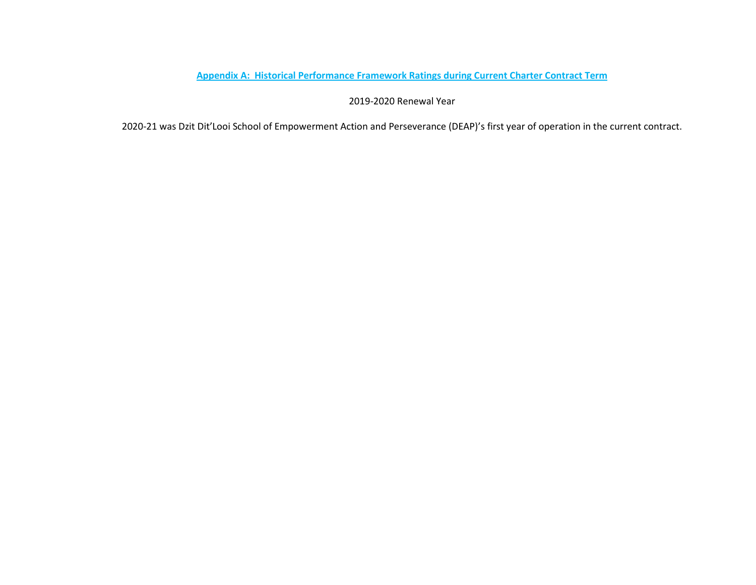# **Appendix A: Historical Performance Framework Ratings during Current Charter Contract Term**

2019-2020 Renewal Year

2020-21 was Dzit Dit'Looi School of Empowerment Action and Perseverance (DEAP)'s first year of operation in the current contract.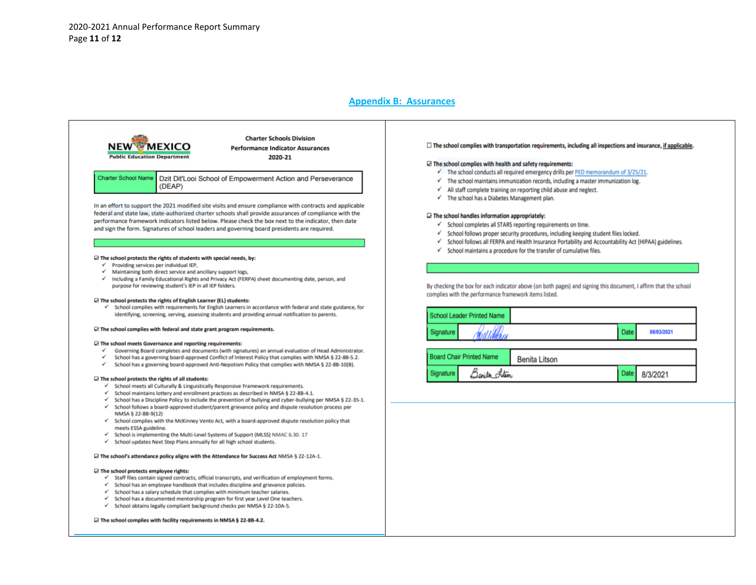#### **Appendix B: Assurances**



In an effort to support the 2021 modified site visits and ensure compliance with contracts and applicable federal and state law, state-authorized charter schools shall provide assurances of compliance with the performance framework indicators listed below. Please check the box next to the indicator, then date and sign the form. Signatures of school leaders and governing board presidents are required.

#### $\boxtimes$  The school protects the rights of students with special needs, by:

- $\checkmark$  Providing services per individual IEP,
- √ Maintaining both direct service and ancillary support logs,
- Including a Family Educational Rights and Privacy Act (FERPA) sheet documenting date, person, and purpose for reviewing student's IEP in all IEP folders.

#### $\boxtimes$  The school protects the rights of English Learner (EL) students:

✓ School complies with requirements for English Learners in accordance with federal and state guidance, for identifying, screening, serving, assessing students and providing annual notification to parents.

#### $\boxdot$  The school complies with federal and state grant program requirements.

#### □ The school meets Governance and reporting requirements:

- Governing Board completes and documents (with signatures) an annual evaluation of Head Administrator.
- School has a governing board-approved Conflict of Interest Policy that complies with NMSA § 22-8B-5.2.
- $\checkmark$ School has a governing board-approved Anti-Nepotism Policy that complies with NMSA § 22-8B-10(B).

#### $\boxdot$  The school protects the rights of all students:

- ✓ School meets all Culturally & Linguistically Responsive Framework requirements.
- $\checkmark$  School maintains lottery and enrollment practices as described in NMSA § 22-8B-4.1.
- $\checkmark$  School has a Discipline Policy to include the prevention of bullying and cyber-bullying per NMSA § 22-35-1.  $\checkmark$ School follows a board-approved student/parent grievance policy and dispute resolution process per
- NMSA § 22-8B-9(12)
- ✓ School complies with the McKinney Vento Act, with a board-approved dispute resolution policy that meets ESSA guideline.
- School is implementing the Multi-Level Systems of Support (MLSS) NMAC 6.30. 17 ✓
- ✓ School updates Next Step Plans annually for all high school students.

#### □ The school's attendance policy aligns with the Attendance for Success Act NMSA § 22-12A-1.

#### □ The school protects employee rights:

- $\checkmark$  Staff files contain signed contracts, official transcripts, and verification of employment forms.
- $\checkmark$  School has an employee handbook that includes discipline and grievance policies.
- $\checkmark$ School has a salary schedule that complies with minimum teacher salaries.
- School has a documented mentorship program for first year Level One teachers.
- School obtains legally compliant background checks per NMSA § 22-10A-5.  $\checkmark$

#### □ The school complies with facility requirements in NMSA § 22-8B-4.2.

#### $\Box$  The school complies with transportation requirements, including all inspections and insurance, if applicable.

#### $\boxtimes$  The school complies with health and safety requirements:

- $\checkmark$  The school conducts all required emergency drills per PED memorandum of 3/25/21.
- $\checkmark$  The school maintains immunization records, including a master immunization log.
- $\checkmark$  All staff complete training on reporting child abuse and neglect.
- $\checkmark$  The school has a Diabetes Management plan.

#### $\Box$  The school handles information appropriately:

Banita Istin

Signature

- √ School completes all STARS reporting requirements on time.
- √ School follows proper security procedures, including keeping student files locked.
- √ School follows all FERPA and Health Insurance Portability and Accountability Act (HIPAA) guidelines.
- $\checkmark$  School maintains a procedure for the transfer of cumulative files.

By checking the box for each indicator above (on both pages) and signing this document, I affirm that the school complies with the performance framework items listed.

| School Leader Printed Name                              |         |  |             |            |  |  |
|---------------------------------------------------------|---------|--|-------------|------------|--|--|
| Signature                                               | William |  | <b>Date</b> | 08/03/2021 |  |  |
| <b>Board Chair Printed Name</b><br><b>Benita Litson</b> |         |  |             |            |  |  |

Date

8/3/2021